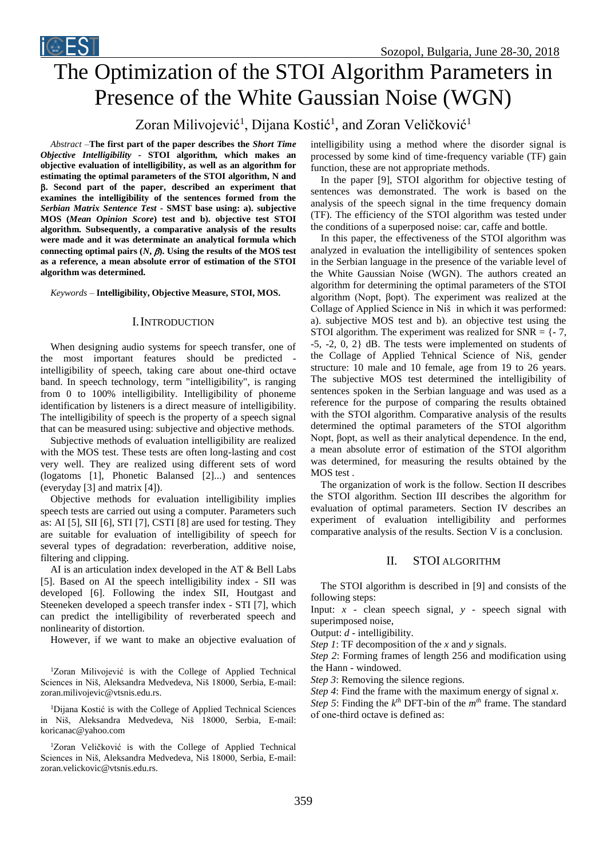

# The Optimization of the STOI Algorithm Parameters in Presence of the White Gaussian Noise (WGN)

# Zoran Milivojević<sup>1</sup>, Dijana Kostić<sup>1</sup>, and Zoran Veličković<sup>1</sup>

*Abstract –***The first part of the paper describes the** *Short Time Objective Intelligibility* **- STOI algorithm, which makes an objective evaluation of intelligibility, as well as an algorithm for estimating the optimal parameters of the STOI algorithm, N and . Second part of the paper, described an experiment that examines the intelligibility of the sentences formed from the**  *Serbian Matrix Sentence Test* **- SMST base using: a). subjective MOS (***Mean Opinion Score***) test and b). objective test STOI algorithm. Subsequently, a comparative analysis of the results were made and it was determinate an analytical formula which** connecting optimal pairs  $(N, \beta)$ . Using the results of the MOS test **as a reference, a mean absolute error of estimation of the STOI algorithm was determined.**

#### *Keywords –* **Intelligibility, Objective Measure, STOI, MOS.**

#### I.INTRODUCTION

When designing audio systems for speech transfer, one of the most important features should be predicted intelligibility of speech, taking care about one-third octave band. In speech technology, term "intelligibility", is ranging from 0 to 100% intelligibility. Intelligibility of phoneme identification by listeners is a direct measure of intelligibility. The intelligibility of speech is the property of a speech signal that can be measured using: subjective and objective methods.

Subjective methods of evaluation intelligibility are realized with the MOS test. These tests are often long-lasting and cost very well. They are realized using different sets of word (logatoms [1], Phonetic Balansed [2]...) and sentences (everyday [3] and matrix [4]).

Objective methods for evaluation intelligibility implies speech tests are carried out using a computer. Parameters such as: AI [5], SII [6], STI [7], CSTI [8] are used for testing. They are suitable for evaluation of intelligibility of speech for several types of degradation: reverberation, additive noise, filtering and clipping.

AI is an articulation index developed in the AT & Bell Labs [5]. Based on AI the speech intelligibility index - SII was developed [6]. Following the index SII, Houtgast and Steeneken developed a speech transfer index - STI [7], which can predict the intelligibility of reverberated speech and nonlinearity of distortion.

However, if we want to make an objective evaluation of

<sup>1</sup>Zoran Milivojević is with the College of Applied Technical Sciences in Niš, Aleksandra Medvedeva, Niš 18000, Serbia, E-mail: zoran.milivojevic@vtsnis.edu.rs.

<sup>1</sup>Dijana Kostić is with the College of Applied Technical Sciences in Niš, Aleksandra Medvedeva, Niš 18000, Serbia, E-mail: koricanac@yahoo.com

<sup>1</sup>Zoran Veličković is with the College of Applied Technical Sciences in Niš, Aleksandra Medvedeva, Niš 18000, Serbia, E-mail: zoran.velickovic@vtsnis.edu.rs.

intelligibility using a method where the disorder signal is processed by some kind of time-frequency variable (TF) gain function, these are not appropriate methods.

In the paper [9], STOI algorithm for objective testing of sentences was demonstrated. The work is based on the analysis of the speech signal in the time frequency domain (TF). The efficiency of the STOI algorithm was tested under the conditions of a superposed noise: car, caffe and bottle.

In this paper, the effectiveness of the STOI algorithm was analyzed in evaluation the intelligibility of sentences spoken in the Serbian language in the presence of the variable level of the White Gaussian Noise (WGN). The authors created an algorithm for determining the optimal parameters of the STOI algorithm (Nopt, βopt). The experiment was realized at the Collage of Applied Science in Niš in which it was performed: a). subjective MOS test and b). an objective test using the STOI algorithm. The experiment was realized for  $SNR = \{-7,$ -5, -2, 0, 2} dB. The tests were implemented on students of the Collage of Applied Tehnical Science of Niš, gender structure: 10 male and 10 female, age from 19 to 26 years. The subjective MOS test determined the intelligibility of sentences spoken in the Serbian language and was used as a reference for the purpose of comparing the results obtained with the STOI algorithm. Comparative analysis of the results determined the optimal parameters of the STOI algorithm Nopt, βopt, as well as their analytical dependence. In the end, a mean absolute error of estimation of the STOI algorithm was determined, for measuring the results obtained by the MOS test

The organization of work is the follow. Section II describes the STOI algorithm. Section III describes the algorithm for evaluation of optimal parameters. Section IV describes an experiment of evaluation intelligibility and performes comparative analysis of the results. Section V is a conclusion.

## II. STOI ALGORITHM

The STOI algorithm is described in [9] and consists of the following steps:

Input:  $x -$  clean speech signal,  $y -$  speech signal with superimposed noise,

Output: *d* - intelligibility.

*Step 1*: TF decomposition of the *x* and *y* signals.

*Step 2*: Forming frames of length 256 and modification using the Hann - windowed.

*Step 3*: Removing the silence regions.

*Step 4*: Find the frame with the maximum energy of signal *x*.

*Step 5*: Finding the  $k^{th}$  DFT-bin of the  $m^{th}$  frame. The standard of оnе-third octave is defined as: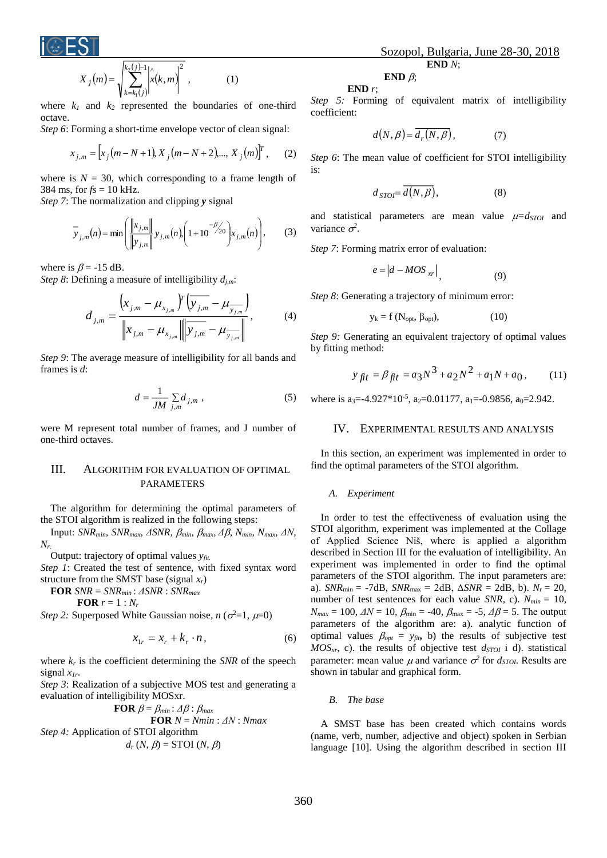

$$
X_j(m) = \sqrt{\sum_{k=k_1(j)}^{k_2(j)-1} \left| \hat{x}(k,m) \right|^2}, \tag{1}
$$

where  $k_1$  and  $k_2$  represented the boundaries of one-third octave.

*Step 6*: Forming a short-time envelope vector of clean signal:

$$
x_{j,m} = \left[x_j(m-N+1), X_j(m-N+2),..., X_j(m)\right]^T, \quad (2)
$$

where is  $N = 30$ , which corresponding to a frame length of 384 ms, for  $fs = 10$  kHz.

*Step 7*: The normalization and clipping *y* signal

$$
\overline{y}_{j,m}(n) = \min\left(\frac{\|x_{j,m}\|}{\|y_{j,m}\|} y_{j,m}(n), \left(1+10^{-\beta/20}\right) x_{j,m}(n)\right),\tag{3}
$$

where is  $\beta$  = -15 dB.

*Step 8*: Defining a measure of intelligibility *dj,m*:

$$
d_{j,m} = \frac{\left(x_{j,m} - \mu_{x_{j,m}}\right)^{T} \left(y_{j,m} - \mu_{y_{j,m}}\right)}{\left\|x_{j,m} - \mu_{x_{j,m}}\right\| \left\|y_{j,m} - \mu_{y_{j,m}}\right\|},
$$
(4)

*Step 9*: The average measure of intelligibility for all bands and frames is *d*:

$$
d = \frac{1}{JM} \sum_{j,m} d_{j,m} \tag{5}
$$

were M represent total number of frames, and J number of one-third octaves.

# III. ALGORITHM FOR EVALUATION OF OPTIMAL PARAMETERS

The algorithm for determining the optimal parameters of the STOI algorithm is realized in the following steps:

Input: *SNRmin*, *SNRmax*, *ΔSNR*, *min*, *max*, *Δ*, *Nmin*, *Nmax*, *ΔN*, *Nr.*

Output: trajectory of optimal values *yfit.*

*Step 1*: Created the test of sentence, with fixed syntax word structure from the SMST base (signal *xr*)

**FOR** *SNR* = *SNRmin* : *ΔSNR* : *SNRmax*

 $r = 1 : N_r$ 

*Step 2:* Superposed White Gaussian noise,  $n (\sigma^2 = 1, \mu = 0)$ 

$$
x_{1r} = x_r + k_r \cdot n, \tag{6}
$$

where  $k_r$  is the coefficient determining the *SNR* of the speech signal *x1r*.

*Step 3*: Realization of a subjective MOS test and generating a evaluation of intelligibility MOSxr.

**FOR** 
$$
\beta = \beta_{min} : \Delta \beta : \beta_{max}
$$
  
\n**FOR**  $N = Nmin : \Delta N : Nmax$   
\n*Step 4:* Application of STOI algorithm  
\n $d_r(N, \beta) =$  STOI  $(N, \beta)$ 

### **END** *r*;

*Step 5:* Forming of equivalent matrix of intelligibility coefficient:

$$
d(N,\beta) = \overline{d_r(N,\beta)},\tag{7}
$$

*Step 6*: The mean value of coefficient for STOI intelligibility is:

$$
d_{STO} = \overline{d(N,\beta)},\tag{8}
$$

and statistical parameters are mean value  $\mu = d_{STOI}$  and variance  $\sigma^2$ .

*Step 7*: Forming matrix error of evaluation:

$$
e = |d - MOS_{xr}|,
$$
 (9)

*Step 8*: Generating a trajectory of minimum error:

$$
y_k = f(N_{opt}, \beta_{opt}), \qquad (10)
$$

*Step 9:* Generating an equivalent trajectory of optimal values by fitting method:

$$
y_{\hat{H}t} = \beta_{\hat{H}t} = a_3 N^3 + a_2 N^2 + a_1 N + a_0, \qquad (11)
$$

where is a<sub>3</sub> = -4.927\*10<sup>-5</sup>, a<sub>2</sub> = 0.01177, a<sub>1</sub> = -0.9856, a<sub>0</sub> = 2.942.

#### IV. EXPERIMENTAL RESULTS AND ANALYSIS

In this section, an experiment was implemented in order to find the optimal parameters of the STOI algorithm.

#### *A. Experiment*

In order to test the effectiveness of evaluation using the STOI algorithm, experiment was implemented at the Collage of Applied Science Niš, where is applied a algorithm described in Section III for the evaluation of intelligibility. An experiment was implemented in order to find the optimal parameters of the STOI algorithm. The input parameters are: a). *SNR*min = -7dB, *SNR*max = 2dB, Δ*SNR* = 2dB, b). *N*<sup>r</sup> = 20, number of test sentences for each value *SNR*, c). *Nmin* = 10,  $N_{max} = 100$ ,  $\Delta N = 10$ ,  $\beta_{min} = -40$ ,  $\beta_{max} = -5$ ,  $\Delta \beta = 5$ . The output parameters of the algorithm are: a). analytic function of optimal values  $\beta_{opt} = y_{fit}$ , b) the results of subjective test *MOSxr*, c). the results of objective test *dSTOI* i d). statistical parameter: mean value  $\mu$  and variance  $\sigma^2$  for  $d_{STOL}$ . Results are shown in tabular and graphical form.

*B. The base*

A SMST base has been created which contains words (name, verb, number, adjective and object) spoken in Serbian language [10]. Using the algorithm described in section III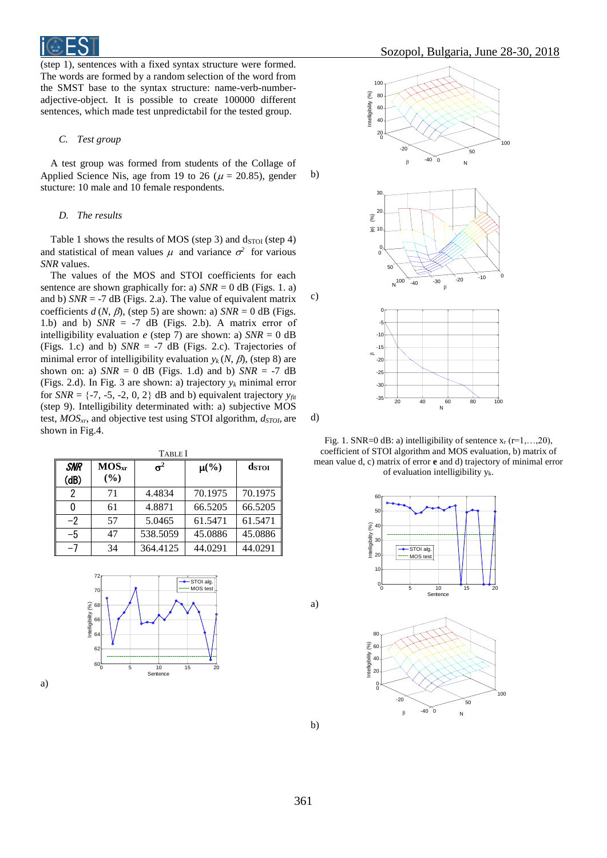(step 1), sentences with a fixed syntax structure were formed. The words are formed by a random selection of the word from the SMST base to the syntax structure: name-verb-numberadjective-object. It is possible to create 100000 different sentences, which made test unpredictabil for the tested group.

#### *C. Test group*

A test group was formed from students of the Collage of Applied Science Nis, age from 19 to 26 ( $\mu$  = 20.85), gender stucture: 10 male and 10 female respondents.

#### *D. The results*

Table 1 shows the results of MOS (step 3) and  $d_{STOI}$  (step 4) and statistical of mean values  $\mu$  and variance  $\sigma^2$  for various *SNR* values.

The values of the MOS and STOI coefficients for each sentence are shown graphically for: a)  $SNR = 0$  dB (Figs. 1. a) and b)  $SNR = -7$  dB (Figs. 2.a). The value of equivalent matrix coefficients  $d(N, \beta)$ , (step 5) are shown: a)  $SNR = 0$  dB (Figs. 1.b) and b)  $SNR = -7$  dB (Figs. 2.b). A matrix error of intelligibility evaluation  $e$  (step 7) are shown: a)  $SNR = 0$  dB (Figs. 1.c) and b) *SNR* = -7 dB (Figs. 2.c). Trajectories of minimal error of intelligibility evaluation  $y_k(N, \beta)$ , (step 8) are shown on: a)  $SNR = 0$  dB (Figs. 1.d) and b)  $SNR = -7$  dB (Figs. 2.d). In Fig. 3 are shown: a) trajectory  $y_k$  minimal error for *SNR* =  $\{-7, -5, -2, 0, 2\}$  dB and b) equivalent trajectory  $y_{fit}$ (step 9). Intelligibility determinated with: a) subjective MOS test, *MOSxr*, and objective test using STOI algorithm, *dSTOI*, are shown in Fig.4.

| <b>TABLE</b> I     |                          |            |                      |         |
|--------------------|--------------------------|------------|----------------------|---------|
| <b>SNR</b><br>(dB) | MOS <sub>xr</sub><br>(%) | $\sigma^2$ | $\mu$ <sup>(%)</sup> | dstor   |
| 2                  | 71                       | 4.4834     | 70.1975              | 70.1975 |
| 0                  | 61                       | 4.8871     | 66.5205              | 66.5205 |
| $-2$               | 57                       | 5.0465     | 61.5471              | 61.5471 |
| -5                 | 47                       | 538.5059   | 45.0886              | 45.0886 |
| -7                 | 34                       | 364.4125   | 44.0291              | 44.0291 |







d)

b)

c)

Fig. 1. SNR=0 dB: a) intelligibility of sentence  $x_r$  (r=1,...,20), coefficient of STOI algorithm and MOS evaluation, b) matrix of mean value d, c) matrix of error **e** and d) trajectory of minimal error of evaluation intelligibility yk.





b)

a)